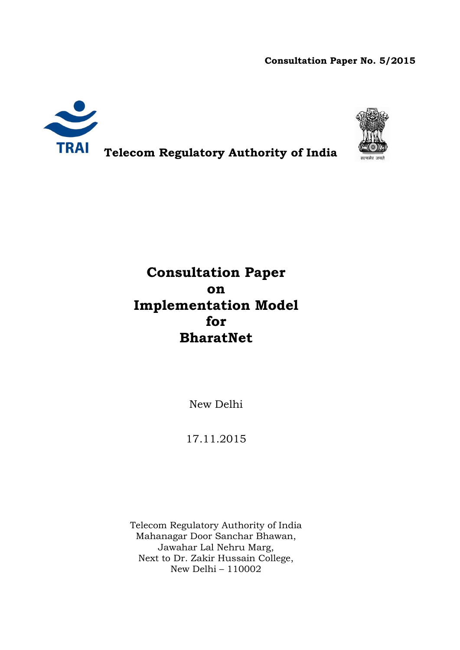**Consultation Paper No. 5/2015**



**TRAI** Telecom Regulatory Authority of India

# **Consultation Paper on Implementation Model for BharatNet**

New Delhi

17.11.2015

Telecom Regulatory Authority of India Mahanagar Door Sanchar Bhawan, Jawahar Lal Nehru Marg, Next to Dr. Zakir Hussain College, New Delhi – 110002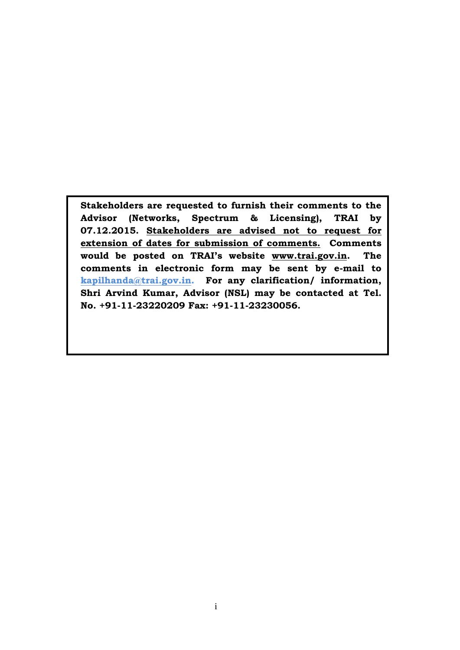**Stakeholders are requested to furnish their comments to the Advisor (Networks, Spectrum & Licensing), TRAI by 07.12.2015. Stakeholders are advised not to request for extension of dates for submission of comments. Comments would be posted on TRAI's website [www.trai.gov.in.](http://www.trai.gov.in/) The comments in electronic form may be sent by e-mail to kapilhanda@trai.gov.in. For any clarification/ information, Shri Arvind Kumar, Advisor (NSL) may be contacted at Tel. No. +91-11-23220209 Fax: +91-11-23230056.**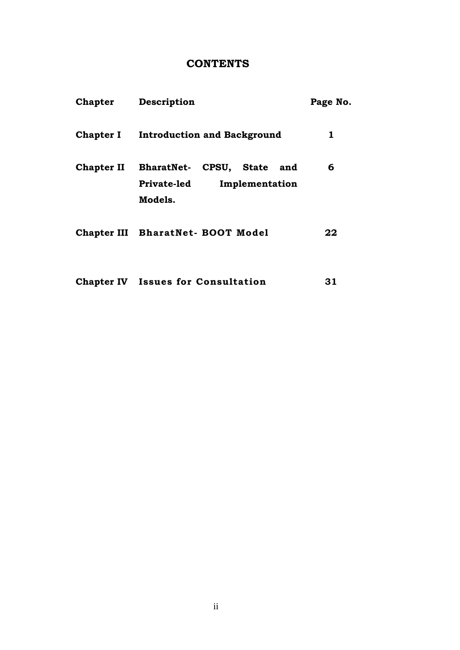## **CONTENTS**

| Chapter Description                                                                      | Page No. |
|------------------------------------------------------------------------------------------|----------|
| <b>Chapter I</b> Introduction and Background                                             | 1        |
| Chapter II BharatNet- CPSU, State and<br><b>Private-led</b><br>Implementation<br>Models. | 6        |
| Chapter III BharatNet- BOOT Model                                                        | 22       |
| <b>Chapter IV</b> Issues for Consultation                                                | 31       |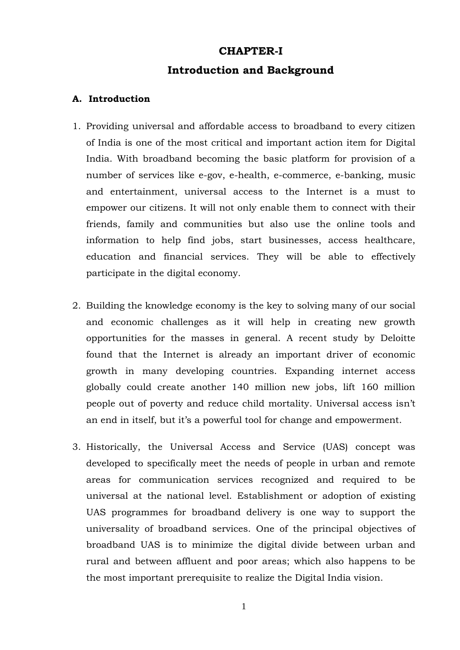#### **CHAPTER-I**

### **Introduction and Background**

#### **A. Introduction**

- 1. Providing universal and affordable access to broadband to every citizen of India is one of the most critical and important action item for Digital India. With broadband becoming the basic platform for provision of a number of services like e-gov, e-health, e-commerce, e-banking, music and entertainment, universal access to the Internet is a must to empower our citizens. It will not only enable them to connect with their friends, family and communities but also use the online tools and information to help find jobs, start businesses, access healthcare, education and financial services. They will be able to effectively participate in the digital economy.
- 2. Building the knowledge economy is the key to solving many of our social and economic challenges as it will help in creating new growth opportunities for the masses in general. A recent study by Deloitte found that the Internet is already an important driver of economic growth in many developing countries. Expanding internet access globally could create another 140 million new jobs, lift 160 million people out of poverty and reduce child mortality. Universal access isn't an end in itself, but it's a powerful tool for change and empowerment.
- 3. Historically, the Universal Access and Service (UAS) concept was developed to specifically meet the needs of people in urban and remote areas for communication services recognized and required to be universal at the national level. Establishment or adoption of existing UAS programmes for broadband delivery is one way to support the universality of broadband services. One of the principal objectives of broadband UAS is to minimize the digital divide between urban and rural and between affluent and poor areas; which also happens to be the most important prerequisite to realize the Digital India vision.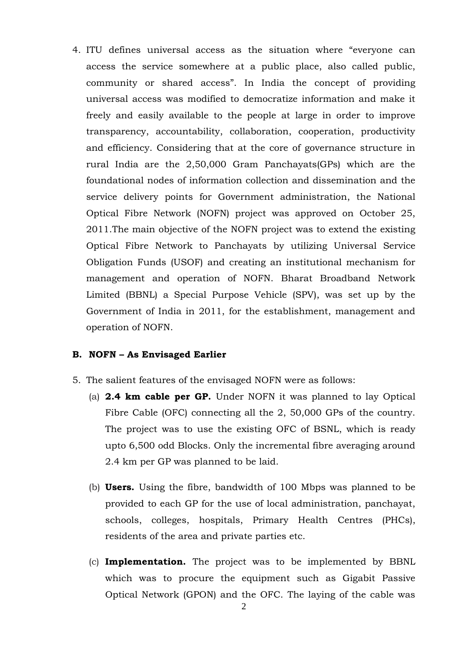4. ITU defines universal access as the situation where "everyone can access the service somewhere at a public place, also called public, community or shared access". In India the concept of providing universal access was modified to democratize information and make it freely and easily available to the people at large in order to improve transparency, accountability, collaboration, cooperation, productivity and efficiency. Considering that at the core of governance structure in rural India are the 2,50,000 Gram Panchayats(GPs) which are the foundational nodes of information collection and dissemination and the service delivery points for Government administration, the National Optical Fibre Network (NOFN) project was approved on October 25, 2011.The main objective of the NOFN project was to extend the existing Optical Fibre Network to Panchayats by utilizing Universal Service Obligation Funds (USOF) and creating an institutional mechanism for management and operation of NOFN. Bharat Broadband Network Limited (BBNL) a Special Purpose Vehicle (SPV), was set up by the Government of India in 2011, for the establishment, management and operation of NOFN.

#### **B. NOFN – As Envisaged Earlier**

- 5. The salient features of the envisaged NOFN were as follows:
	- (a) **2.4 km cable per GP.** Under NOFN it was planned to lay Optical Fibre Cable (OFC) connecting all the 2, 50,000 GPs of the country. The project was to use the existing OFC of BSNL, which is ready upto 6,500 odd Blocks. Only the incremental fibre averaging around 2.4 km per GP was planned to be laid.
	- (b) **Users.** Using the fibre, bandwidth of 100 Mbps was planned to be provided to each GP for the use of local administration, panchayat, schools, colleges, hospitals, Primary Health Centres (PHCs), residents of the area and private parties etc.
	- (c) **Implementation.** The project was to be implemented by BBNL which was to procure the equipment such as Gigabit Passive Optical Network (GPON) and the OFC. The laying of the cable was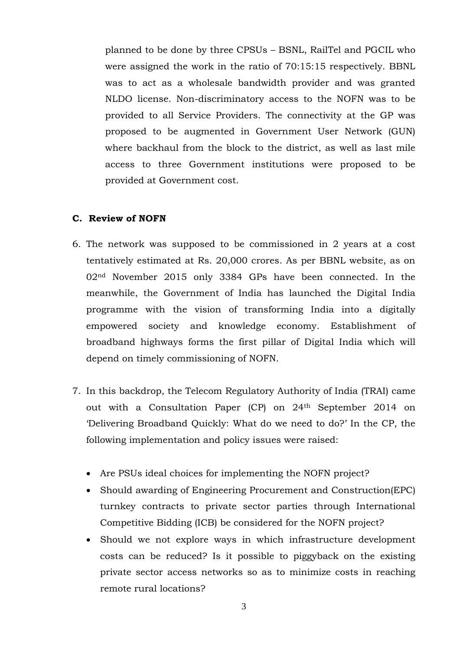planned to be done by three CPSUs – BSNL, RailTel and PGCIL who were assigned the work in the ratio of 70:15:15 respectively. BBNL was to act as a wholesale bandwidth provider and was granted NLDO license. Non-discriminatory access to the NOFN was to be provided to all Service Providers. The connectivity at the GP was proposed to be augmented in Government User Network (GUN) where backhaul from the block to the district, as well as last mile access to three Government institutions were proposed to be provided at Government cost.

#### **C. Review of NOFN**

- 6. The network was supposed to be commissioned in 2 years at a cost tentatively estimated at Rs. 20,000 crores. As per BBNL website, as on 02nd November 2015 only 3384 GPs have been connected. In the meanwhile, the Government of India has launched the Digital India programme with the vision of transforming India into a digitally empowered society and knowledge economy. Establishment of broadband highways forms the first pillar of Digital India which will depend on timely commissioning of NOFN.
- 7. In this backdrop, the Telecom Regulatory Authority of India (TRAI) came out with a Consultation Paper (CP) on 24th September 2014 on 'Delivering Broadband Quickly: What do we need to do?' In the CP, the following implementation and policy issues were raised:
	- Are PSUs ideal choices for implementing the NOFN project?
	- Should awarding of Engineering Procurement and Construction(EPC) turnkey contracts to private sector parties through International Competitive Bidding (ICB) be considered for the NOFN project?
	- Should we not explore ways in which infrastructure development costs can be reduced? Is it possible to piggyback on the existing private sector access networks so as to minimize costs in reaching remote rural locations?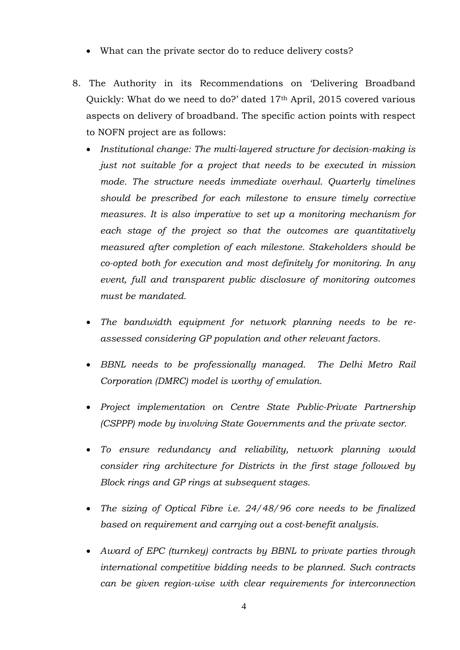- What can the private sector do to reduce delivery costs?
- 8. The Authority in its Recommendations on 'Delivering Broadband Quickly: What do we need to do?' dated 17th April, 2015 covered various aspects on delivery of broadband. The specific action points with respect to NOFN project are as follows:
	- *Institutional change: The multi-layered structure for decision-making is just not suitable for a project that needs to be executed in mission mode. The structure needs immediate overhaul. Quarterly timelines should be prescribed for each milestone to ensure timely corrective measures. It is also imperative to set up a monitoring mechanism for each stage of the project so that the outcomes are quantitatively measured after completion of each milestone. Stakeholders should be co-opted both for execution and most definitely for monitoring. In any event, full and transparent public disclosure of monitoring outcomes must be mandated.*
	- *The bandwidth equipment for network planning needs to be reassessed considering GP population and other relevant factors.*
	- *BBNL needs to be professionally managed. The Delhi Metro Rail Corporation (DMRC) model is worthy of emulation.*
	- *Project implementation on Centre State Public-Private Partnership (CSPPP) mode by involving State Governments and the private sector.*
	- *To ensure redundancy and reliability, network planning would consider ring architecture for Districts in the first stage followed by Block rings and GP rings at subsequent stages.*
	- *The sizing of Optical Fibre i.e. 24/48/96 core needs to be finalized based on requirement and carrying out a cost-benefit analysis.*
	- *Award of EPC (turnkey) contracts by BBNL to private parties through international competitive bidding needs to be planned. Such contracts can be given region-wise with clear requirements for interconnection*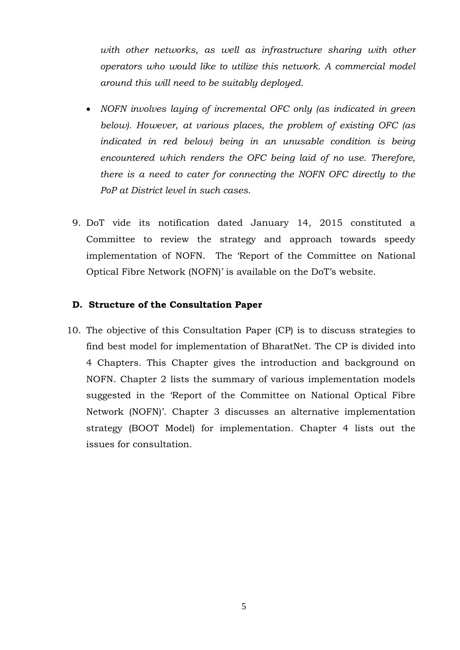with other networks, as well as infrastructure sharing with other *operators who would like to utilize this network. A commercial model around this will need to be suitably deployed.*

- *NOFN involves laying of incremental OFC only (as indicated in green below). However, at various places, the problem of existing OFC (as indicated in red below) being in an unusable condition is being encountered which renders the OFC being laid of no use. Therefore, there is a need to cater for connecting the NOFN OFC directly to the PoP at District level in such cases.*
- 9. DoT vide its notification dated January 14, 2015 constituted a Committee to review the strategy and approach towards speedy implementation of NOFN. The 'Report of the Committee on National Optical Fibre Network (NOFN)' is available on the DoT's website.

#### **D. Structure of the Consultation Paper**

10. The objective of this Consultation Paper (CP) is to discuss strategies to find best model for implementation of BharatNet. The CP is divided into 4 Chapters. This Chapter gives the introduction and background on NOFN. Chapter 2 lists the summary of various implementation models suggested in the 'Report of the Committee on National Optical Fibre Network (NOFN)'. Chapter 3 discusses an alternative implementation strategy (BOOT Model) for implementation. Chapter 4 lists out the issues for consultation.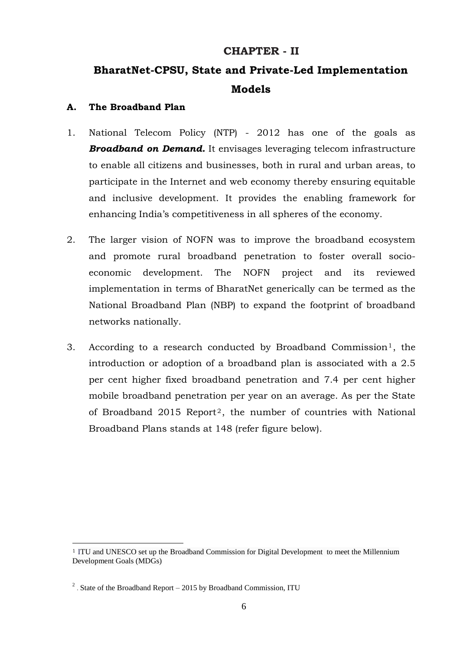## **CHAPTER - II**

# **BharatNet-CPSU, State and Private-Led Implementation Models**

#### **A. The Broadband Plan**

- 1. National Telecom Policy (NTP) 2012 has one of the goals as *Broadband on Demand.* It envisages leveraging telecom infrastructure to enable all citizens and businesses, both in rural and urban areas, to participate in the Internet and web economy thereby ensuring equitable and inclusive development. It provides the enabling framework for enhancing India's competitiveness in all spheres of the economy.
- 2. The larger vision of NOFN was to improve the broadband ecosystem and promote rural broadband penetration to foster overall socioeconomic development. The NOFN project and its reviewed implementation in terms of BharatNet generically can be termed as the National Broadband Plan (NBP) to expand the footprint of broadband networks nationally.
- 3. According to a research conducted by Broadband Commission<sup>1</sup>, the introduction or adoption of a broadband plan is associated with a 2.5 per cent higher fixed broadband penetration and 7.4 per cent higher mobile broadband penetration per year on an average. As per the State of Broadband 2015 Report<sup>2</sup>, the number of countries with National Broadband Plans stands at 148 (refer figure below).

 $\overline{a}$ 

<sup>1</sup> ITU and UNESCO set up the [Broadband Commission for Digital Development](http://www.broadbandcommission.org/) to meet the [Millennium](http://www.un.org/millenniumgoals/)  [Development Goals \(MDGs\)](http://www.un.org/millenniumgoals/)

<sup>&</sup>lt;sup>2</sup>. State of the Broadband Report – 2015 by Broadband Commission, ITU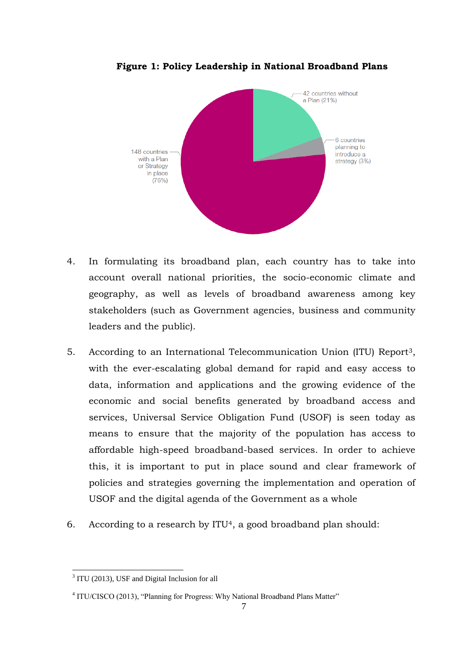

**Figure 1: Policy Leadership in National Broadband Plans**

- 4. In formulating its broadband plan, each country has to take into account overall national priorities, the socio-economic climate and geography, as well as levels of broadband awareness among key stakeholders (such as Government agencies, business and community leaders and the public).
- 5. According to an International Telecommunication Union (ITU) Report3, with the ever-escalating global demand for rapid and easy access to data, information and applications and the growing evidence of the economic and social benefits generated by broadband access and services, Universal Service Obligation Fund (USOF) is seen today as means to ensure that the majority of the population has access to affordable high-speed broadband-based services. In order to achieve this, it is important to put in place sound and clear framework of policies and strategies governing the implementation and operation of USOF and the digital agenda of the Government as a whole
- 6. According to a research by  $ITU<sup>4</sup>$ , a good broadband plan should:

 $\overline{a}$ <sup>3</sup> ITU (2013), USF and Digital Inclusion for all

<sup>&</sup>lt;sup>4</sup> ITU/CISCO (2013), "Planning for Progress: Why National Broadband Plans Matter"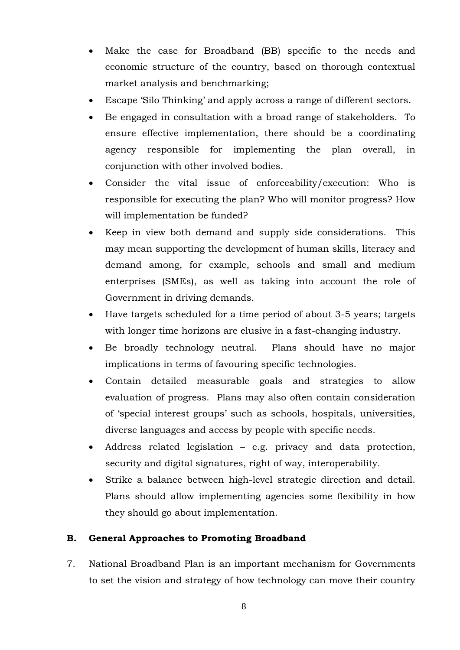- Make the case for Broadband (BB) specific to the needs and economic structure of the country, based on thorough contextual market analysis and benchmarking;
- Escape 'Silo Thinking' and apply across a range of different sectors.
- Be engaged in consultation with a broad range of stakeholders. To ensure effective implementation, there should be a coordinating agency responsible for implementing the plan overall, in conjunction with other involved bodies.
- Consider the vital issue of enforceability/execution: Who is responsible for executing the plan? Who will monitor progress? How will implementation be funded?
- Keep in view both demand and supply side considerations. This may mean supporting the development of human skills, literacy and demand among, for example, schools and small and medium enterprises (SMEs), as well as taking into account the role of Government in driving demands.
- Have targets scheduled for a time period of about 3-5 years; targets with longer time horizons are elusive in a fast-changing industry.
- Be broadly technology neutral. Plans should have no major implications in terms of favouring specific technologies.
- Contain detailed measurable goals and strategies to allow evaluation of progress. Plans may also often contain consideration of 'special interest groups' such as schools, hospitals, universities, diverse languages and access by people with specific needs.
- Address related legislation e.g. privacy and data protection, security and digital signatures, right of way, interoperability.
- Strike a balance between high-level strategic direction and detail. Plans should allow implementing agencies some flexibility in how they should go about implementation.

## **B. General Approaches to Promoting Broadband**

7. National Broadband Plan is an important mechanism for Governments to set the vision and strategy of how technology can move their country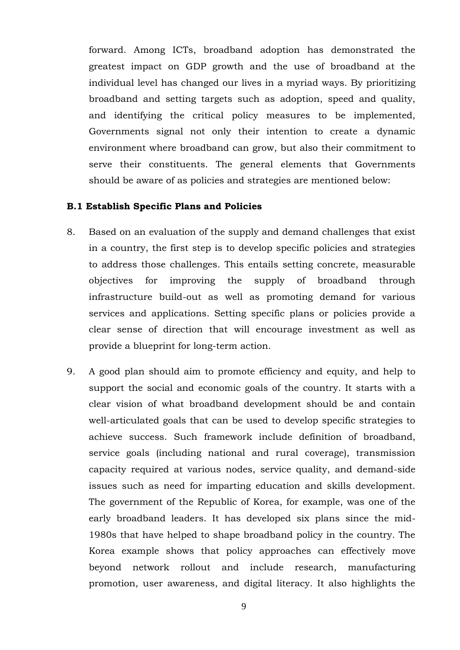forward. Among ICTs, broadband adoption has demonstrated the greatest impact on GDP growth and the use of broadband at the individual level has changed our lives in a myriad ways. By prioritizing broadband and setting targets such as adoption, speed and quality, and identifying the critical policy measures to be implemented, Governments signal not only their intention to create a dynamic environment where broadband can grow, but also their commitment to serve their constituents. The general elements that Governments should be aware of as policies and strategies are mentioned below:

#### **B.1 Establish Specific Plans and Policies**

- 8. Based on an evaluation of the supply and demand challenges that exist in a country, the first step is to develop specific policies and strategies to address those challenges. This entails setting concrete, measurable objectives for improving the supply of broadband through infrastructure build-out as well as promoting demand for various services and applications. Setting specific plans or policies provide a clear sense of direction that will encourage investment as well as provide a blueprint for long-term action.
- 9. A good plan should aim to promote efficiency and equity, and help to support the social and economic goals of the country. It starts with a clear vision of what broadband development should be and contain well-articulated goals that can be used to develop specific strategies to achieve success. Such framework include definition of broadband, service goals (including national and rural coverage), transmission capacity required at various nodes, service quality, and demand-side issues such as need for imparting education and skills development. The government of the Republic of Korea, for example, was one of the early broadband leaders. It has developed six plans since the mid-1980s that have helped to shape broadband policy in the country. The Korea example shows that policy approaches can effectively move beyond network rollout and include research, manufacturing promotion, user awareness, and digital literacy. It also highlights the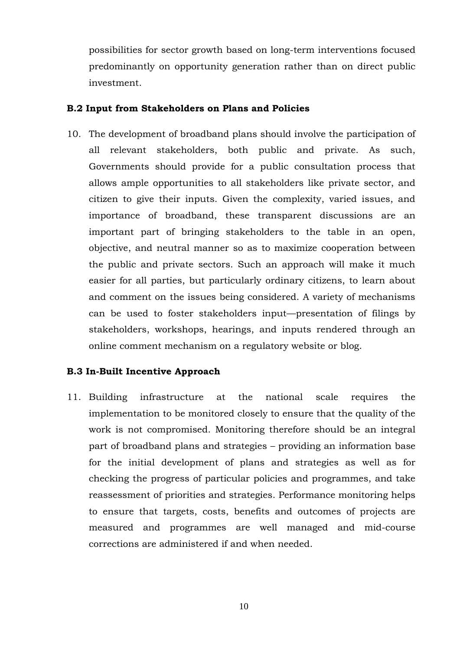possibilities for sector growth based on long-term interventions focused predominantly on opportunity generation rather than on direct public investment.

#### **B.2 Input from Stakeholders on Plans and Policies**

10. The development of broadband plans should involve the participation of all relevant stakeholders, both public and private. As such, Governments should provide for a public consultation process that allows ample opportunities to all stakeholders like private sector, and citizen to give their inputs. Given the complexity, varied issues, and importance of broadband, these transparent discussions are an important part of bringing stakeholders to the table in an open, objective, and neutral manner so as to maximize cooperation between the public and private sectors. Such an approach will make it much easier for all parties, but particularly ordinary citizens, to learn about and comment on the issues being considered. A variety of mechanisms can be used to foster stakeholders input—presentation of filings by stakeholders, workshops, hearings, and inputs rendered through an online comment mechanism on a regulatory website or blog.

#### **B.3 In-Built Incentive Approach**

11. Building infrastructure at the national scale requires the implementation to be monitored closely to ensure that the quality of the work is not compromised. Monitoring therefore should be an integral part of broadband plans and strategies – providing an information base for the initial development of plans and strategies as well as for checking the progress of particular policies and programmes, and take reassessment of priorities and strategies. Performance monitoring helps to ensure that targets, costs, benefits and outcomes of projects are measured and programmes are well managed and mid-course corrections are administered if and when needed.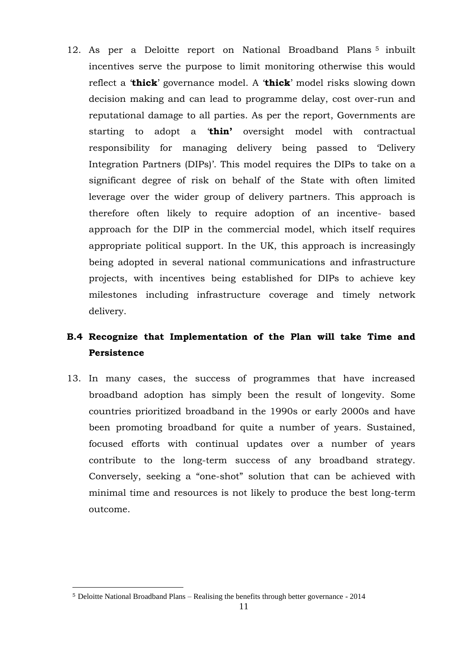12. As per a Deloitte report on National Broadband Plans <sup>5</sup> inbuilt incentives serve the purpose to limit monitoring otherwise this would reflect a '**thick**' governance model. A '**thick**' model risks slowing down decision making and can lead to programme delay, cost over-run and reputational damage to all parties. As per the report, Governments are starting to adopt a '**thin'** oversight model with contractual responsibility for managing delivery being passed to 'Delivery Integration Partners (DIPs)'. This model requires the DIPs to take on a significant degree of risk on behalf of the State with often limited leverage over the wider group of delivery partners. This approach is therefore often likely to require adoption of an incentive- based approach for the DIP in the commercial model, which itself requires appropriate political support. In the UK, this approach is increasingly being adopted in several national communications and infrastructure projects, with incentives being established for DIPs to achieve key milestones including infrastructure coverage and timely network delivery.

## **B.4 Recognize that Implementation of the Plan will take Time and Persistence**

13. In many cases, the success of programmes that have increased broadband adoption has simply been the result of longevity. Some countries prioritized broadband in the 1990s or early 2000s and have been promoting broadband for quite a number of years. Sustained, focused efforts with continual updates over a number of years contribute to the long-term success of any broadband strategy. Conversely, seeking a "one-shot" solution that can be achieved with minimal time and resources is not likely to produce the best long-term outcome.

 $\overline{a}$ 

<sup>5</sup> Deloitte National Broadband Plans – Realising the benefits through better governance - 2014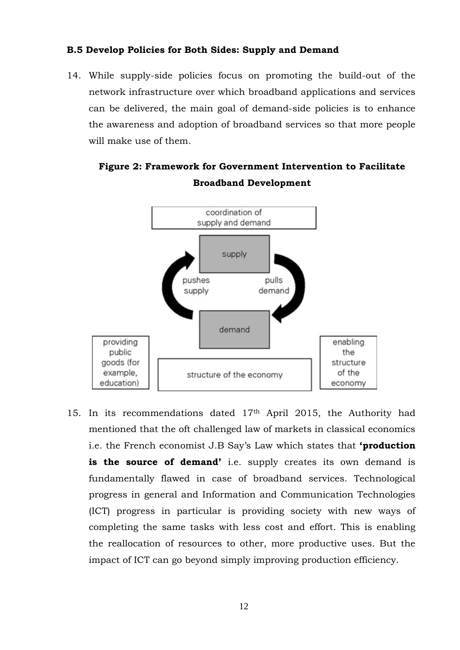### **B.5 Develop Policies for Both Sides: Supply and Demand**

14. While supply-side policies focus on promoting the build-out of the network infrastructure over which broadband applications and services can be delivered, the main goal of demand-side policies is to enhance the awareness and adoption of broadband services so that more people will make use of them.



## **Figure 2: Framework for Government Intervention to Facilitate Broadband Development**

15. In its recommendations dated 17th April 2015, the Authority had mentioned that the oft challenged law of markets in classical economics i.e. the French economist J.B Say's Law which states that **'production**  is the source of demand' i.e. supply creates its own demand is fundamentally flawed in case of broadband services. Technological progress in general and Information and Communication Technologies (ICT) progress in particular is providing society with new ways of completing the same tasks with less cost and effort. This is enabling the reallocation of resources to other, more productive uses. But the impact of ICT can go beyond simply improving production efficiency.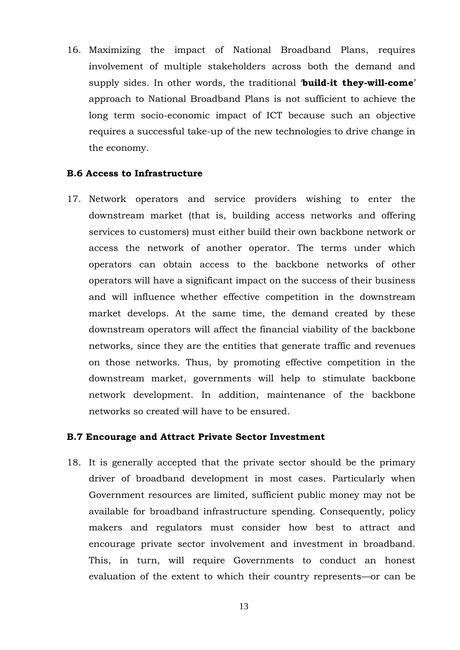16. Maximizing the impact of National Broadband Plans, requires involvement of multiple stakeholders across both the demand and supply sides. In other words, the traditional '**build-it they-will-come**' approach to National Broadband Plans is not sufficient to achieve the long term socio-economic impact of ICT because such an objective requires a successful take-up of the new technologies to drive change in the economy.

#### **B.6 Access to Infrastructure**

17. Network operators and service providers wishing to enter the downstream market (that is, building access networks and offering services to customers) must either build their own backbone network or access the network of another operator. The terms under which operators can obtain access to the backbone networks of other operators will have a significant impact on the success of their business and will influence whether effective competition in the downstream market develops. At the same time, the demand created by these downstream operators will affect the financial viability of the backbone networks, since they are the entities that generate traffic and revenues on those networks. Thus, by promoting effective competition in the downstream market, governments will help to stimulate backbone network development. In addition, maintenance of the backbone networks so created will have to be ensured.

#### **B.7 Encourage and Attract Private Sector Investment**

18. It is generally accepted that the private sector should be the primary driver of broadband development in most cases. Particularly when Government resources are limited, sufficient public money may not be available for broadband infrastructure spending. Consequently, policy makers and regulators must consider how best to attract and encourage private sector involvement and investment in broadband. This, in turn, will require Governments to conduct an honest evaluation of the extent to which their country represents—or can be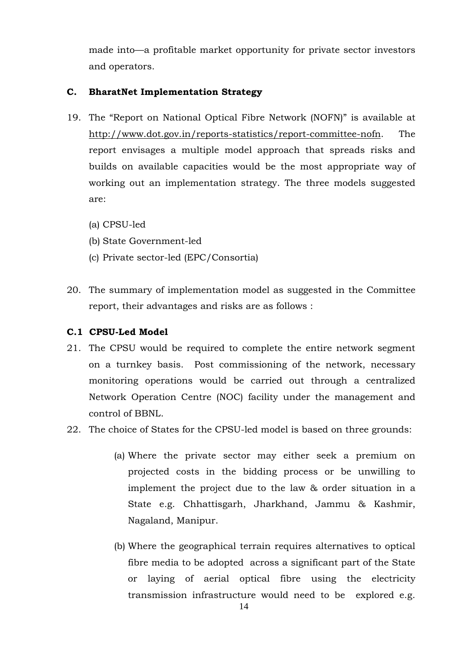made into—a profitable market opportunity for private sector investors and operators.

#### **C. BharatNet Implementation Strategy**

- 19. The "Report on National Optical Fibre Network (NOFN)" is available at [http://www.dot.gov.in/reports-statistics/report-committee-nofn.](http://www.dot.gov.in/reports-statistics/report-committee-nofn) The report envisages a multiple model approach that spreads risks and builds on available capacities would be the most appropriate way of working out an implementation strategy. The three models suggested are:
	- (a) CPSU-led
	- (b) State Government-led
	- (c) Private sector-led (EPC/Consortia)
- 20. The summary of implementation model as suggested in the Committee report, their advantages and risks are as follows :

#### **C.1 CPSU-Led Model**

- 21. The CPSU would be required to complete the entire network segment on a turnkey basis. Post commissioning of the network, necessary monitoring operations would be carried out through a centralized Network Operation Centre (NOC) facility under the management and control of BBNL.
- 22. The choice of States for the CPSU-led model is based on three grounds:
	- (a) Where the private sector may either seek a premium on projected costs in the bidding process or be unwilling to implement the project due to the law & order situation in a State e.g. Chhattisgarh, Jharkhand, Jammu & Kashmir, Nagaland, Manipur.
	- (b) Where the geographical terrain requires alternatives to optical fibre media to be adopted across a significant part of the State or laying of aerial optical fibre using the electricity transmission infrastructure would need to be explored e.g.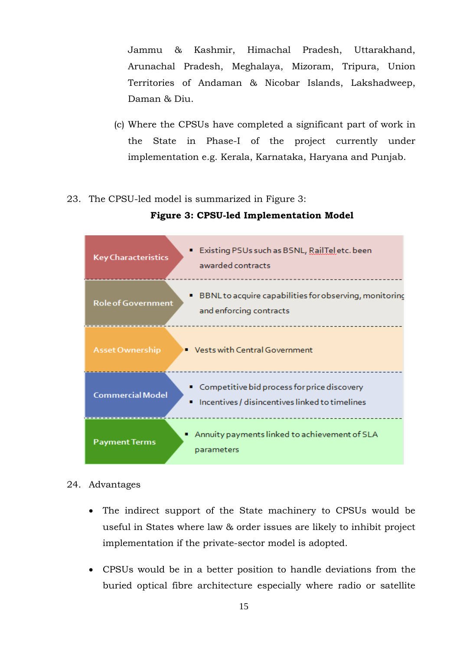Jammu & Kashmir, Himachal Pradesh, Uttarakhand, Arunachal Pradesh, Meghalaya, Mizoram, Tripura, Union Territories of Andaman & Nicobar Islands, Lakshadweep, Daman & Diu.

- (c) Where the CPSUs have completed a significant part of work in the State in Phase-I of the project currently under implementation e.g. Kerala, Karnataka, Haryana and Punjab.
- 23. The CPSU-led model is summarized in Figure 3:





#### 24. Advantages

- The indirect support of the State machinery to CPSUs would be useful in States where law & order issues are likely to inhibit project implementation if the private-sector model is adopted.
- CPSUs would be in a better position to handle deviations from the buried optical fibre architecture especially where radio or satellite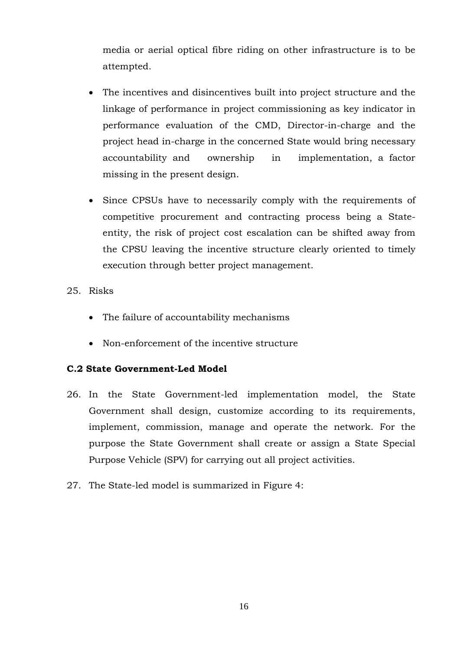media or aerial optical fibre riding on other infrastructure is to be attempted.

- The incentives and disincentives built into project structure and the linkage of performance in project commissioning as key indicator in performance evaluation of the CMD, Director-in-charge and the project head in-charge in the concerned State would bring necessary accountability and ownership in implementation, a factor missing in the present design.
- Since CPSUs have to necessarily comply with the requirements of competitive procurement and contracting process being a Stateentity, the risk of project cost escalation can be shifted away from the CPSU leaving the incentive structure clearly oriented to timely execution through better project management.
- 25. Risks
	- The failure of accountability mechanisms
	- Non-enforcement of the incentive structure

#### **C.2 State Government-Led Model**

- 26. In the State Government-led implementation model, the State Government shall design, customize according to its requirements, implement, commission, manage and operate the network. For the purpose the State Government shall create or assign a State Special Purpose Vehicle (SPV) for carrying out all project activities.
- 27. The State-led model is summarized in Figure 4: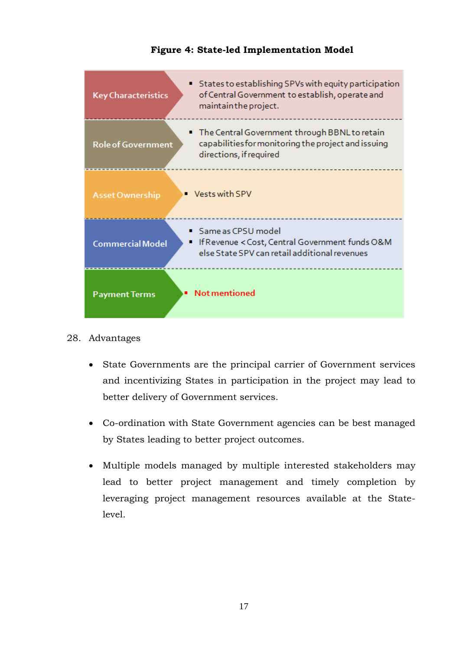| <b>Key Characteristics</b> | ■ States to establishing SPVs with equity participation<br>of Central Government to establish, operate and<br>maintain the project. |
|----------------------------|-------------------------------------------------------------------------------------------------------------------------------------|
| <b>Role of Government</b>  | ■ The Central Government through BBNL to retain<br>capabilities for monitoring the project and issuing<br>directions, if required   |
| <b>Asset Ownership</b>     | ■ Vests with SPV                                                                                                                    |
| <b>Commercial Model</b>    | ■ Same as CPSU model<br>■ If Revenue < Cost, Central Government funds O&M<br>else State SPV can retail additional revenues          |
| <b>Payment Terms</b>       | <b>Not mentioned</b>                                                                                                                |

## **Figure 4: State-led Implementation Model**

- 28. Advantages
	- State Governments are the principal carrier of Government services and incentivizing States in participation in the project may lead to better delivery of Government services.
	- Co-ordination with State Government agencies can be best managed by States leading to better project outcomes.
	- Multiple models managed by multiple interested stakeholders may lead to better project management and timely completion by leveraging project management resources available at the Statelevel.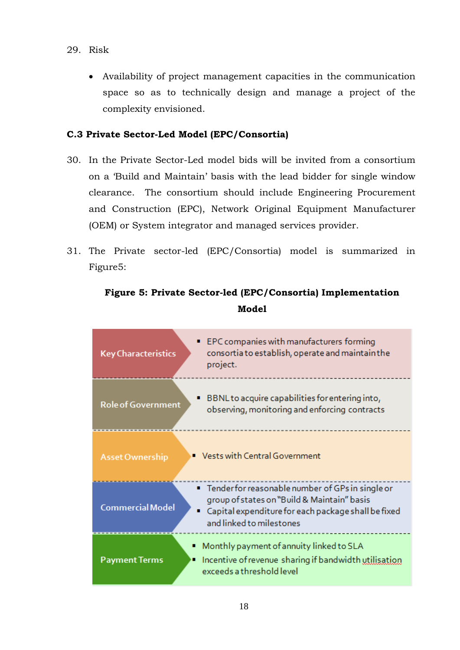- 29. Risk
	- Availability of project management capacities in the communication space so as to technically design and manage a project of the complexity envisioned.

#### **C.3 Private Sector-Led Model (EPC/Consortia)**

- 30. In the Private Sector-Led model bids will be invited from a consortium on a 'Build and Maintain' basis with the lead bidder for single window clearance. The consortium should include Engineering Procurement and Construction (EPC), Network Original Equipment Manufacturer (OEM) or System integrator and managed services provider.
- 31. The Private sector-led (EPC/Consortia) model is summarized in Figure5:

## **Figure 5: Private Sector-led (EPC/Consortia) Implementation Model**

| <b>Key Characteristics</b> | ■ EPC companies with manufacturers forming<br>consortia to establish, operate and maintain the<br>project.                                                                            |
|----------------------------|---------------------------------------------------------------------------------------------------------------------------------------------------------------------------------------|
| <b>Role of Government</b>  | BBNL to acquire capabilities for entering into,<br>observing, monitoring and enforcing contracts                                                                                      |
| <b>Asset Ownership</b>     | ■ Vests with Central Government                                                                                                                                                       |
| <b>Commercial Model</b>    | ■ Tenderfor reasonable number of GPs in single or<br>group of states on "Build & Maintain" basis<br>■ Capital expenditure for each package shall be fixed<br>and linked to milestones |
| <b>Payment Terms</b>       | Monthly payment of annuity linked to SLA<br>Incentive of revenue sharing if bandwidth utilisation<br>exceeds a threshold level                                                        |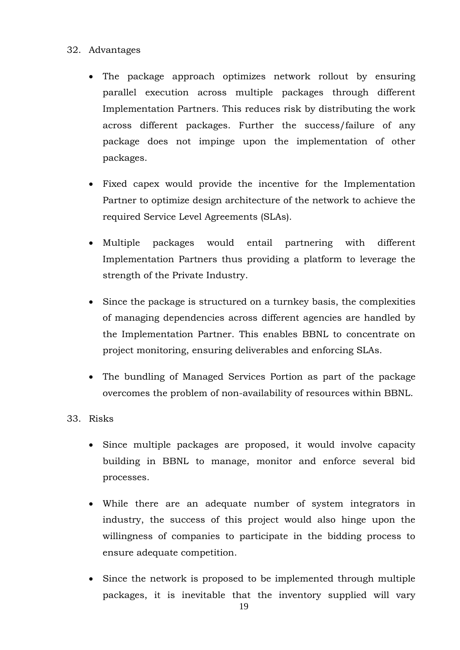### 32. Advantages

- The package approach optimizes network rollout by ensuring parallel execution across multiple packages through different Implementation Partners. This reduces risk by distributing the work across different packages. Further the success/failure of any package does not impinge upon the implementation of other packages.
- Fixed capex would provide the incentive for the Implementation Partner to optimize design architecture of the network to achieve the required Service Level Agreements (SLAs).
- Multiple packages would entail partnering with different Implementation Partners thus providing a platform to leverage the strength of the Private Industry.
- Since the package is structured on a turnkey basis, the complexities of managing dependencies across different agencies are handled by the Implementation Partner. This enables BBNL to concentrate on project monitoring, ensuring deliverables and enforcing SLAs.
- The bundling of Managed Services Portion as part of the package overcomes the problem of non-availability of resources within BBNL.

## 33. Risks

- Since multiple packages are proposed, it would involve capacity building in BBNL to manage, monitor and enforce several bid processes.
- While there are an adequate number of system integrators in industry, the success of this project would also hinge upon the willingness of companies to participate in the bidding process to ensure adequate competition.
- Since the network is proposed to be implemented through multiple packages, it is inevitable that the inventory supplied will vary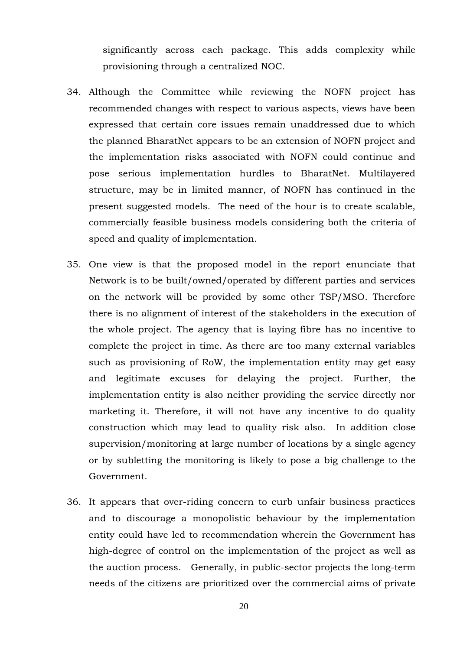significantly across each package. This adds complexity while provisioning through a centralized NOC.

- 34. Although the Committee while reviewing the NOFN project has recommended changes with respect to various aspects, views have been expressed that certain core issues remain unaddressed due to which the planned BharatNet appears to be an extension of NOFN project and the implementation risks associated with NOFN could continue and pose serious implementation hurdles to BharatNet. Multilayered structure, may be in limited manner, of NOFN has continued in the present suggested models. The need of the hour is to create scalable, commercially feasible business models considering both the criteria of speed and quality of implementation.
- 35. One view is that the proposed model in the report enunciate that Network is to be built/owned/operated by different parties and services on the network will be provided by some other TSP/MSO. Therefore there is no alignment of interest of the stakeholders in the execution of the whole project. The agency that is laying fibre has no incentive to complete the project in time. As there are too many external variables such as provisioning of RoW, the implementation entity may get easy and legitimate excuses for delaying the project. Further, the implementation entity is also neither providing the service directly nor marketing it. Therefore, it will not have any incentive to do quality construction which may lead to quality risk also. In addition close supervision/monitoring at large number of locations by a single agency or by subletting the monitoring is likely to pose a big challenge to the Government.
- 36. It appears that over-riding concern to curb unfair business practices and to discourage a monopolistic behaviour by the implementation entity could have led to recommendation wherein the Government has high-degree of control on the implementation of the project as well as the auction process. Generally, in public-sector projects the long-term needs of the citizens are prioritized over the commercial aims of private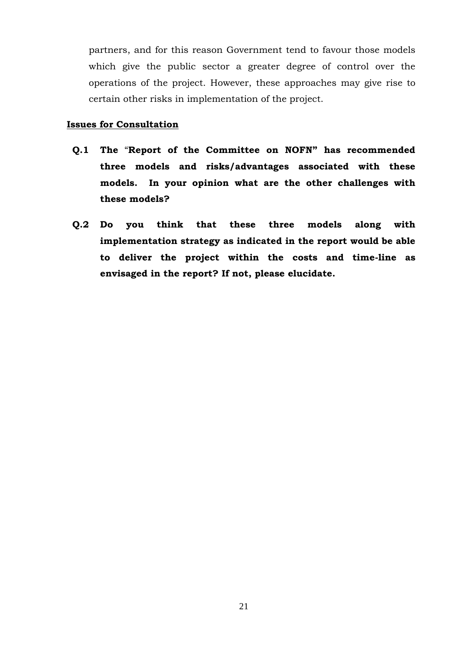partners, and for this reason Government tend to favour those models which give the public sector a greater degree of control over the operations of the project. However, these approaches may give rise to certain other risks in implementation of the project.

#### **Issues for Consultation**

- **Q.1 The** "**Report of the Committee on NOFN" has recommended three models and risks/advantages associated with these models. In your opinion what are the other challenges with these models?**
- **Q.2 Do you think that these three models along with implementation strategy as indicated in the report would be able to deliver the project within the costs and time-line as envisaged in the report? If not, please elucidate.**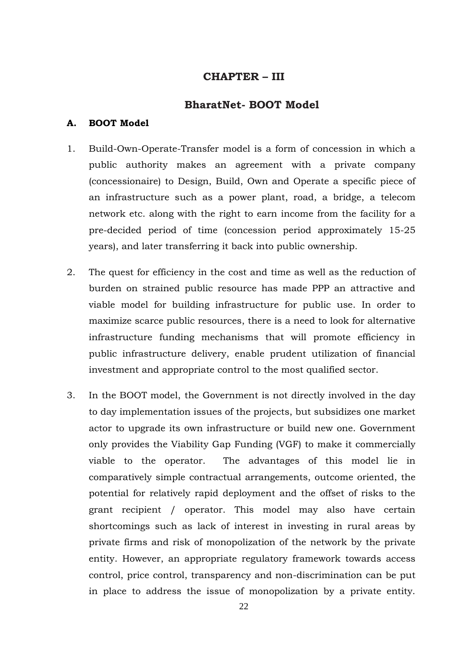### **CHAPTER – III**

## **BharatNet- BOOT Model**

#### **A. BOOT Model**

- 1. Build-Own-Operate-Transfer model is a form of concession in which a public authority makes an agreement with a private company (concessionaire) to Design, Build, Own and Operate a specific piece of an infrastructure such as a power plant, road, a bridge, a telecom network etc. along with the right to earn income from the facility for a pre-decided period of time (concession period approximately 15-25 years), and later transferring it back into public ownership.
- 2. The quest for efficiency in the cost and time as well as the reduction of burden on strained public resource has made PPP an attractive and viable model for building infrastructure for public use. In order to maximize scarce public resources, there is a need to look for alternative infrastructure funding mechanisms that will promote efficiency in public infrastructure delivery, enable prudent utilization of financial investment and appropriate control to the most qualified sector.
- 3. In the BOOT model, the Government is not directly involved in the day to day implementation issues of the projects, but subsidizes one market actor to upgrade its own infrastructure or build new one. Government only provides the Viability Gap Funding (VGF) to make it commercially viable to the operator. The advantages of this model lie in comparatively simple contractual arrangements, outcome oriented, the potential for relatively rapid deployment and the offset of risks to the grant recipient / operator. This model may also have certain shortcomings such as lack of interest in investing in rural areas by private firms and risk of monopolization of the network by the private entity. However, an appropriate regulatory framework towards access control, price control, transparency and non-discrimination can be put in place to address the issue of monopolization by a private entity.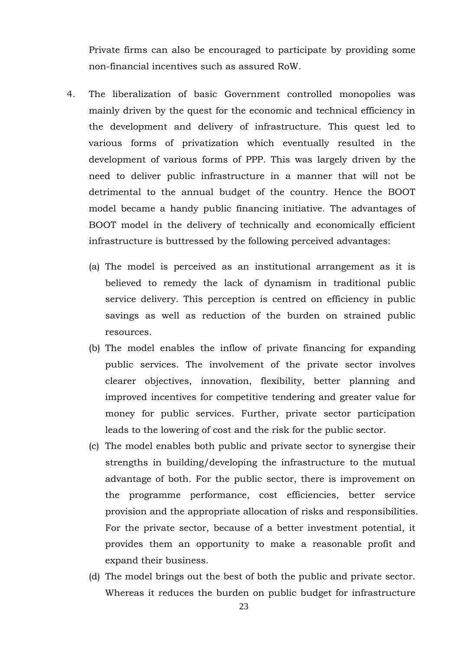Private firms can also be encouraged to participate by providing some non-financial incentives such as assured RoW.

- 4. The liberalization of basic Government controlled monopolies was mainly driven by the quest for the economic and technical efficiency in the development and delivery of infrastructure. This quest led to various forms of privatization which eventually resulted in the development of various forms of PPP. This was largely driven by the need to deliver public infrastructure in a manner that will not be detrimental to the annual budget of the country. Hence the BOOT model became a handy public financing initiative. The advantages of BOOT model in the delivery of technically and economically efficient infrastructure is buttressed by the following perceived advantages:
	- (a) The model is perceived as an institutional arrangement as it is believed to remedy the lack of dynamism in traditional public service delivery. This perception is centred on efficiency in public savings as well as reduction of the burden on strained public resources.
	- (b) The model enables the inflow of private financing for expanding public services. The involvement of the private sector involves clearer objectives, innovation, flexibility, better planning and improved incentives for competitive tendering and greater value for money for public services. Further, private sector participation leads to the lowering of cost and the risk for the public sector.
	- (c) The model enables both public and private sector to synergise their strengths in building/developing the infrastructure to the mutual advantage of both. For the public sector, there is improvement on the programme performance, cost efficiencies, better service provision and the appropriate allocation of risks and responsibilities. For the private sector, because of a better investment potential, it provides them an opportunity to make a reasonable profit and expand their business.
	- (d) The model brings out the best of both the public and private sector. Whereas it reduces the burden on public budget for infrastructure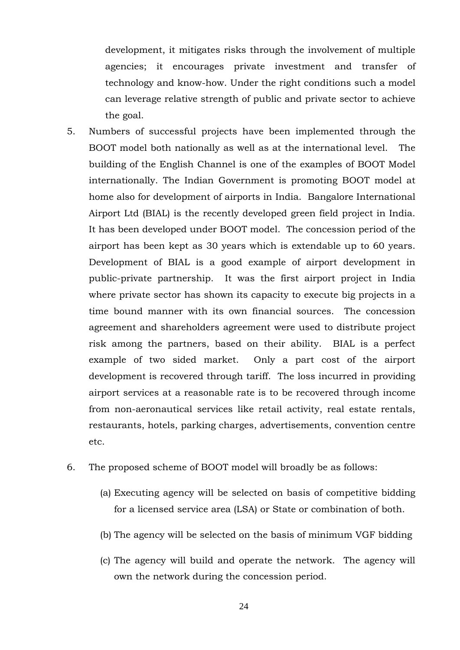development, it mitigates risks through the involvement of multiple agencies; it encourages private investment and transfer of technology and know-how. Under the right conditions such a model can leverage relative strength of public and private sector to achieve the goal.

- 5. Numbers of successful projects have been implemented through the BOOT model both nationally as well as at the international level. The building of the English Channel is one of the examples of BOOT Model internationally. The Indian Government is promoting BOOT model at home also for development of airports in India. Bangalore International Airport Ltd (BIAL) is the recently developed green field project in India. It has been developed under BOOT model. The concession period of the airport has been kept as 30 years which is extendable up to 60 years. Development of BIAL is a good example of airport development in public-private partnership. It was the first airport project in India where private sector has shown its capacity to execute big projects in a time bound manner with its own financial sources. The concession agreement and shareholders agreement were used to distribute project risk among the partners, based on their ability. BIAL is a perfect example of two sided market. Only a part cost of the airport development is recovered through tariff. The loss incurred in providing airport services at a reasonable rate is to be recovered through income from non-aeronautical services like retail activity, real estate rentals, restaurants, hotels, parking charges, advertisements, convention centre etc.
- 6. The proposed scheme of BOOT model will broadly be as follows:
	- (a) Executing agency will be selected on basis of competitive bidding for a licensed service area (LSA) or State or combination of both.
	- (b) The agency will be selected on the basis of minimum VGF bidding
	- (c) The agency will build and operate the network. The agency will own the network during the concession period.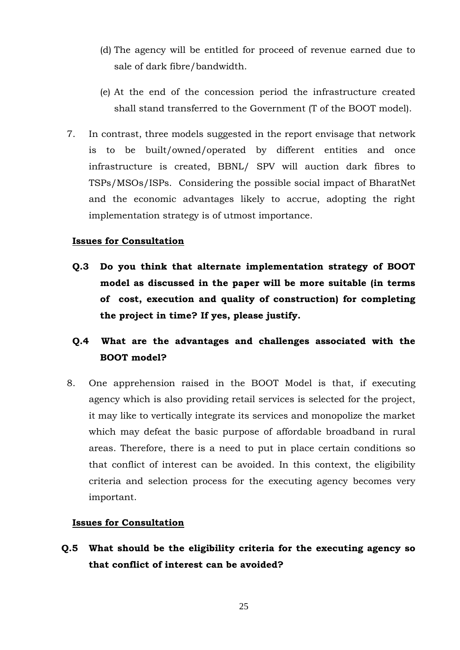- (d) The agency will be entitled for proceed of revenue earned due to sale of dark fibre/bandwidth.
- (e) At the end of the concession period the infrastructure created shall stand transferred to the Government (T of the BOOT model).
- 7. In contrast, three models suggested in the report envisage that network is to be built/owned/operated by different entities and once infrastructure is created, BBNL/ SPV will auction dark fibres to TSPs/MSOs/ISPs. Considering the possible social impact of BharatNet and the economic advantages likely to accrue, adopting the right implementation strategy is of utmost importance.

#### **Issues for Consultation**

- **Q.3 Do you think that alternate implementation strategy of BOOT model as discussed in the paper will be more suitable (in terms of cost, execution and quality of construction) for completing the project in time? If yes, please justify.**
- **Q.4 What are the advantages and challenges associated with the BOOT model?**
- 8. One apprehension raised in the BOOT Model is that, if executing agency which is also providing retail services is selected for the project, it may like to vertically integrate its services and monopolize the market which may defeat the basic purpose of affordable broadband in rural areas. Therefore, there is a need to put in place certain conditions so that conflict of interest can be avoided. In this context, the eligibility criteria and selection process for the executing agency becomes very important.

#### **Issues for Consultation**

**Q.5 What should be the eligibility criteria for the executing agency so that conflict of interest can be avoided?**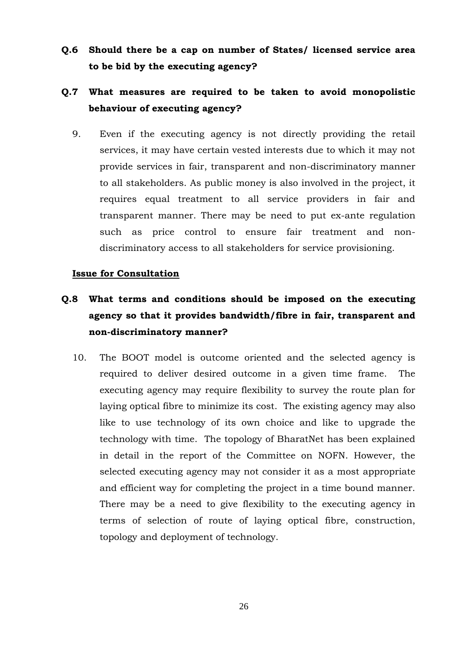**Q.6 Should there be a cap on number of States/ licensed service area to be bid by the executing agency?**

## **Q.7 What measures are required to be taken to avoid monopolistic behaviour of executing agency?**

9. Even if the executing agency is not directly providing the retail services, it may have certain vested interests due to which it may not provide services in fair, transparent and non-discriminatory manner to all stakeholders. As public money is also involved in the project, it requires equal treatment to all service providers in fair and transparent manner. There may be need to put ex-ante regulation such as price control to ensure fair treatment and nondiscriminatory access to all stakeholders for service provisioning.

#### **Issue for Consultation**

## **Q.8 What terms and conditions should be imposed on the executing agency so that it provides bandwidth/fibre in fair, transparent and non-discriminatory manner?**

10. The BOOT model is outcome oriented and the selected agency is required to deliver desired outcome in a given time frame. The executing agency may require flexibility to survey the route plan for laying optical fibre to minimize its cost. The existing agency may also like to use technology of its own choice and like to upgrade the technology with time. The topology of BharatNet has been explained in detail in the report of the Committee on NOFN. However, the selected executing agency may not consider it as a most appropriate and efficient way for completing the project in a time bound manner. There may be a need to give flexibility to the executing agency in terms of selection of route of laying optical fibre, construction, topology and deployment of technology.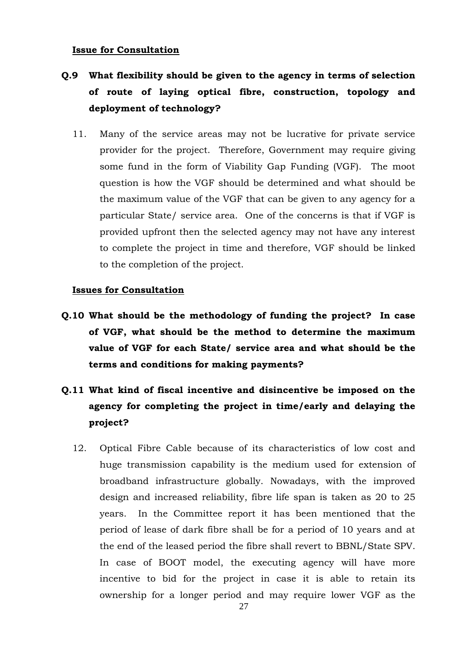#### **Issue for Consultation**

## **Q.9 What flexibility should be given to the agency in terms of selection of route of laying optical fibre, construction, topology and deployment of technology?**

11. Many of the service areas may not be lucrative for private service provider for the project. Therefore, Government may require giving some fund in the form of Viability Gap Funding (VGF). The moot question is how the VGF should be determined and what should be the maximum value of the VGF that can be given to any agency for a particular State/ service area. One of the concerns is that if VGF is provided upfront then the selected agency may not have any interest to complete the project in time and therefore, VGF should be linked to the completion of the project.

#### **Issues for Consultation**

- **Q.10 What should be the methodology of funding the project? In case of VGF, what should be the method to determine the maximum value of VGF for each State/ service area and what should be the terms and conditions for making payments?**
- **Q.11 What kind of fiscal incentive and disincentive be imposed on the agency for completing the project in time/early and delaying the project?** 
	- 12. Optical Fibre Cable because of its characteristics of low cost and huge transmission capability is the medium used for extension of broadband infrastructure globally. Nowadays, with the improved design and increased reliability, fibre life span is taken as 20 to 25 years. In the Committee report it has been mentioned that the period of lease of dark fibre shall be for a period of 10 years and at the end of the leased period the fibre shall revert to BBNL/State SPV. In case of BOOT model, the executing agency will have more incentive to bid for the project in case it is able to retain its ownership for a longer period and may require lower VGF as the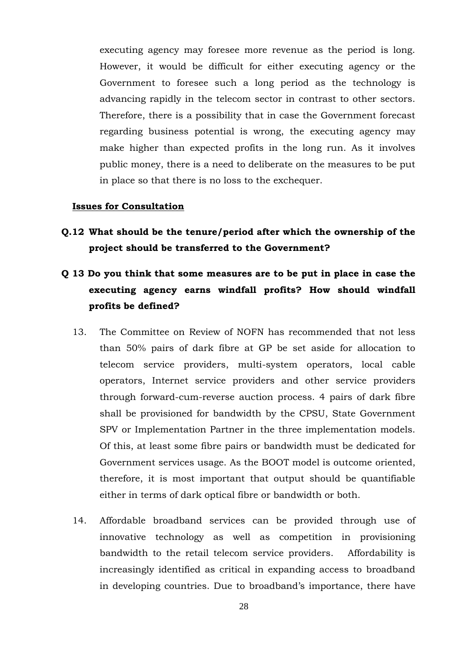executing agency may foresee more revenue as the period is long. However, it would be difficult for either executing agency or the Government to foresee such a long period as the technology is advancing rapidly in the telecom sector in contrast to other sectors. Therefore, there is a possibility that in case the Government forecast regarding business potential is wrong, the executing agency may make higher than expected profits in the long run. As it involves public money, there is a need to deliberate on the measures to be put in place so that there is no loss to the exchequer.

#### **Issues for Consultation**

- **Q.12 What should be the tenure/period after which the ownership of the project should be transferred to the Government?**
- **Q 13 Do you think that some measures are to be put in place in case the executing agency earns windfall profits? How should windfall profits be defined?**
	- 13. The Committee on Review of NOFN has recommended that not less than 50% pairs of dark fibre at GP be set aside for allocation to telecom service providers, multi-system operators, local cable operators, Internet service providers and other service providers through forward-cum-reverse auction process. 4 pairs of dark fibre shall be provisioned for bandwidth by the CPSU, State Government SPV or Implementation Partner in the three implementation models. Of this, at least some fibre pairs or bandwidth must be dedicated for Government services usage. As the BOOT model is outcome oriented, therefore, it is most important that output should be quantifiable either in terms of dark optical fibre or bandwidth or both.
	- 14. Affordable broadband services can be provided through use of innovative technology as well as competition in provisioning bandwidth to the retail telecom service providers. Affordability is increasingly identified as critical in expanding access to broadband in developing countries. Due to broadband's importance, there have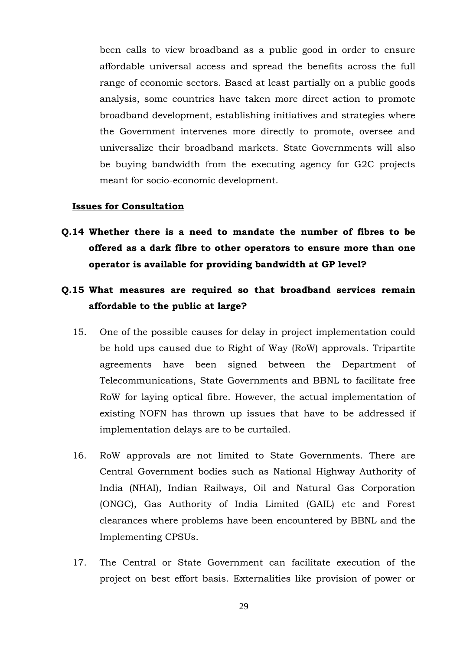been calls to view broadband as a public good in order to ensure affordable universal access and spread the benefits across the full range of economic sectors. Based at least partially on a public goods analysis, some countries have taken more direct action to promote broadband development, establishing initiatives and strategies where the Government intervenes more directly to promote, oversee and universalize their broadband markets. State Governments will also be buying bandwidth from the executing agency for G2C projects meant for socio-economic development.

#### **Issues for Consultation**

**Q.14 Whether there is a need to mandate the number of fibres to be offered as a dark fibre to other operators to ensure more than one operator is available for providing bandwidth at GP level?**

## **Q.15 What measures are required so that broadband services remain affordable to the public at large?**

- 15. One of the possible causes for delay in project implementation could be hold ups caused due to Right of Way (RoW) approvals. Tripartite agreements have been signed between the Department of Telecommunications, State Governments and BBNL to facilitate free RoW for laying optical fibre. However, the actual implementation of existing NOFN has thrown up issues that have to be addressed if implementation delays are to be curtailed.
- 16. RoW approvals are not limited to State Governments. There are Central Government bodies such as National Highway Authority of India (NHAI), Indian Railways, Oil and Natural Gas Corporation (ONGC), Gas Authority of India Limited (GAIL) etc and Forest clearances where problems have been encountered by BBNL and the Implementing CPSUs.
- 17. The Central or State Government can facilitate execution of the project on best effort basis. Externalities like provision of power or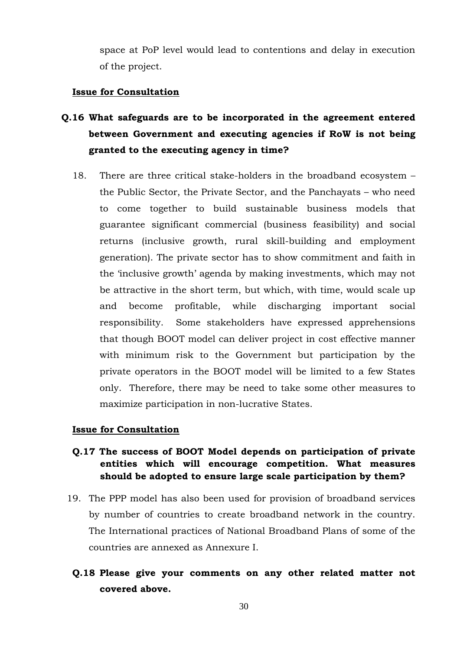space at PoP level would lead to contentions and delay in execution of the project.

#### **Issue for Consultation**

- **Q.16 What safeguards are to be incorporated in the agreement entered between Government and executing agencies if RoW is not being granted to the executing agency in time?**
	- 18. There are three critical stake-holders in the broadband ecosystem the Public Sector, the Private Sector, and the Panchayats – who need to come together to build sustainable business models that guarantee significant commercial (business feasibility) and social returns (inclusive growth, rural skill-building and employment generation). The private sector has to show commitment and faith in the 'inclusive growth' agenda by making investments, which may not be attractive in the short term, but which, with time, would scale up and become profitable, while discharging important social responsibility. Some stakeholders have expressed apprehensions that though BOOT model can deliver project in cost effective manner with minimum risk to the Government but participation by the private operators in the BOOT model will be limited to a few States only. Therefore, there may be need to take some other measures to maximize participation in non-lucrative States.

#### **Issue for Consultation**

## **Q.17 The success of BOOT Model depends on participation of private entities which will encourage competition. What measures should be adopted to ensure large scale participation by them?**

- 19. The PPP model has also been used for provision of broadband services by number of countries to create broadband network in the country. The International practices of National Broadband Plans of some of the countries are annexed as Annexure I.
- **Q.18 Please give your comments on any other related matter not covered above.**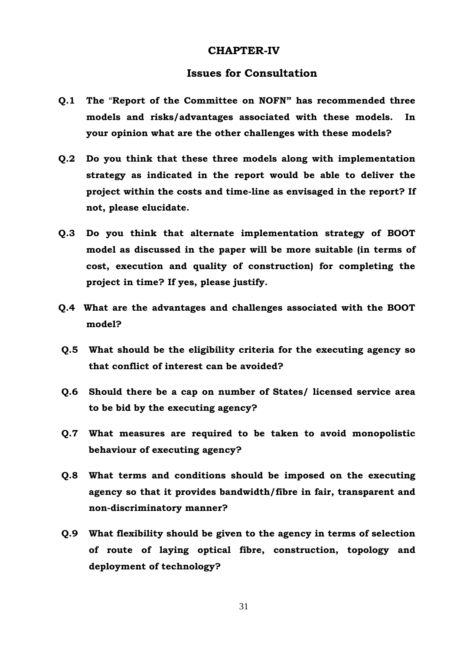#### **CHAPTER-IV**

### **Issues for Consultation**

- **Q.1 The** "**Report of the Committee on NOFN" has recommended three models and risks/advantages associated with these models. In your opinion what are the other challenges with these models?**
- **Q.2 Do you think that these three models along with implementation strategy as indicated in the report would be able to deliver the project within the costs and time-line as envisaged in the report? If not, please elucidate.**
- **Q.3 Do you think that alternate implementation strategy of BOOT model as discussed in the paper will be more suitable (in terms of cost, execution and quality of construction) for completing the project in time? If yes, please justify.**
- **Q.4 What are the advantages and challenges associated with the BOOT model?**
- **Q.5 What should be the eligibility criteria for the executing agency so that conflict of interest can be avoided?**
- **Q.6 Should there be a cap on number of States/ licensed service area to be bid by the executing agency?**
- **Q.7 What measures are required to be taken to avoid monopolistic behaviour of executing agency?**
- **Q.8 What terms and conditions should be imposed on the executing agency so that it provides bandwidth/fibre in fair, transparent and non-discriminatory manner?**
- **Q.9 What flexibility should be given to the agency in terms of selection of route of laying optical fibre, construction, topology and deployment of technology?**

31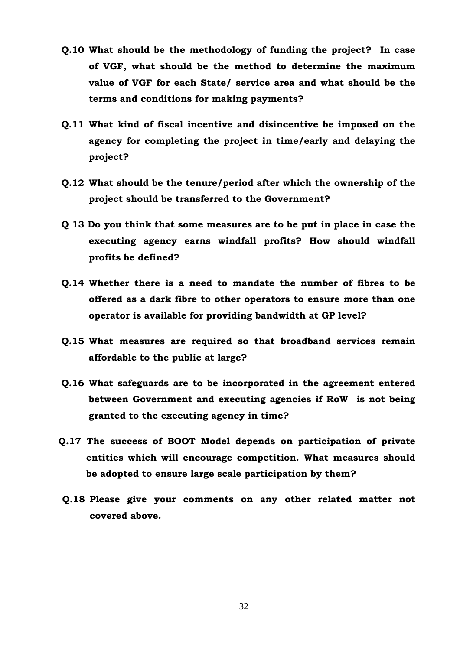- **Q.10 What should be the methodology of funding the project? In case of VGF, what should be the method to determine the maximum value of VGF for each State/ service area and what should be the terms and conditions for making payments?**
- **Q.11 What kind of fiscal incentive and disincentive be imposed on the agency for completing the project in time/early and delaying the project?**
- **Q.12 What should be the tenure/period after which the ownership of the project should be transferred to the Government?**
- **Q 13 Do you think that some measures are to be put in place in case the executing agency earns windfall profits? How should windfall profits be defined?**
- **Q.14 Whether there is a need to mandate the number of fibres to be offered as a dark fibre to other operators to ensure more than one operator is available for providing bandwidth at GP level?**
- **Q.15 What measures are required so that broadband services remain affordable to the public at large?**
- **Q.16 What safeguards are to be incorporated in the agreement entered between Government and executing agencies if RoW is not being granted to the executing agency in time?**
- **Q.17 The success of BOOT Model depends on participation of private entities which will encourage competition. What measures should be adopted to ensure large scale participation by them?**
- **Q.18 Please give your comments on any other related matter not covered above.**

32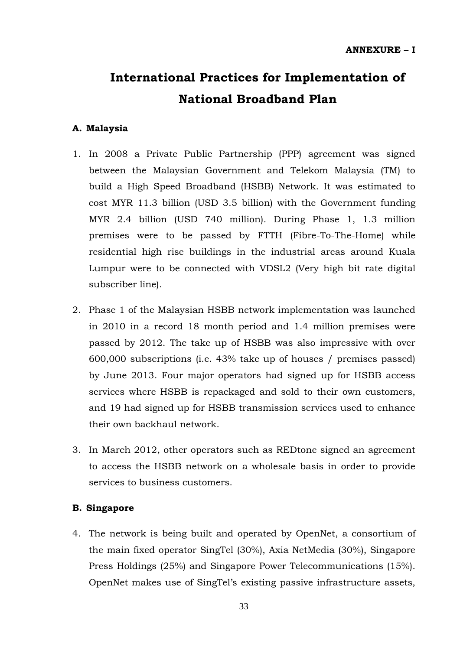# **International Practices for Implementation of National Broadband Plan**

### **A. Malaysia**

- 1. In 2008 a Private Public Partnership (PPP) agreement was signed between the Malaysian Government and Telekom Malaysia (TM) to build a High Speed Broadband (HSBB) Network. It was estimated to cost MYR 11.3 billion (USD 3.5 billion) with the Government funding MYR 2.4 billion (USD 740 million). During Phase 1, 1.3 million premises were to be passed by FTTH (Fibre-To-The-Home) while residential high rise buildings in the industrial areas around Kuala Lumpur were to be connected with VDSL2 (Very high bit rate digital subscriber line).
- 2. Phase 1 of the Malaysian HSBB network implementation was launched in 2010 in a record 18 month period and 1.4 million premises were passed by 2012. The take up of HSBB was also impressive with over 600,000 subscriptions (i.e. 43% take up of houses / premises passed) by June 2013. Four major operators had signed up for HSBB access services where HSBB is repackaged and sold to their own customers, and 19 had signed up for HSBB transmission services used to enhance their own backhaul network.
- 3. In March 2012, other operators such as REDtone signed an agreement to access the HSBB network on a wholesale basis in order to provide services to business customers.

## **B. Singapore**

4. The network is being built and operated by OpenNet, a consortium of the main fixed operator SingTel (30%), Axia NetMedia (30%), Singapore Press Holdings (25%) and Singapore Power Telecommunications (15%). OpenNet makes use of SingTel's existing passive infrastructure assets,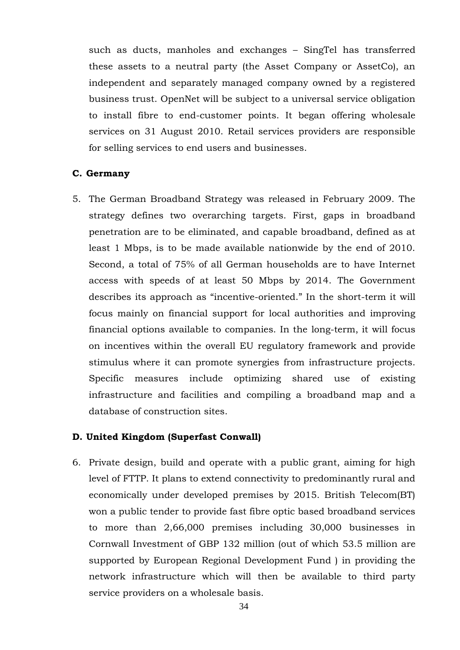such as ducts, manholes and exchanges – SingTel has transferred these assets to a neutral party (the Asset Company or AssetCo), an independent and separately managed company owned by a registered business trust. OpenNet will be subject to a universal service obligation to install fibre to end-customer points. It began offering wholesale services on 31 August 2010. Retail services providers are responsible for selling services to end users and businesses.

#### **C. Germany**

5. The German Broadband Strategy was released in February 2009. The strategy defines two overarching targets. First, gaps in broadband penetration are to be eliminated, and capable broadband, defined as at least 1 Mbps, is to be made available nationwide by the end of 2010. Second, a total of 75% of all German households are to have Internet access with speeds of at least 50 Mbps by 2014. The Government describes its approach as "incentive-oriented." In the short-term it will focus mainly on financial support for local authorities and improving financial options available to companies. In the long-term, it will focus on incentives within the overall EU regulatory framework and provide stimulus where it can promote synergies from infrastructure projects. Specific measures include optimizing shared use of existing infrastructure and facilities and compiling a broadband map and a database of construction sites.

#### **D. United Kingdom (Superfast Conwall)**

6. Private design, build and operate with a public grant, aiming for high level of FTTP. It plans to extend connectivity to predominantly rural and economically under developed premises by 2015. British Telecom(BT) won a public tender to provide fast fibre optic based broadband services to more than 2,66,000 premises including 30,000 businesses in Cornwall Investment of GBP 132 million (out of which 53.5 million are supported by European Regional Development Fund ) in providing the network infrastructure which will then be available to third party service providers on a wholesale basis.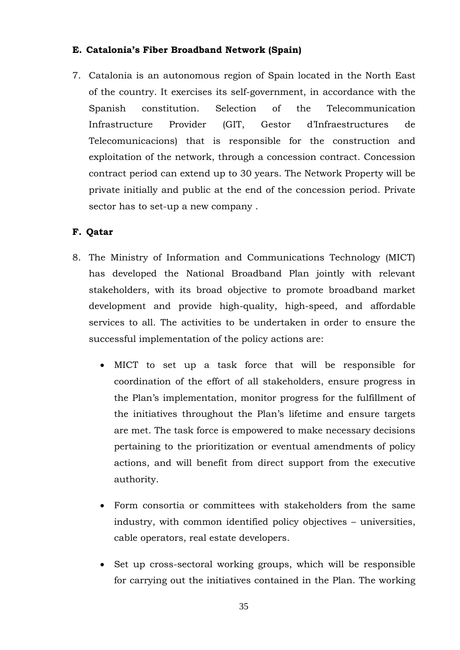#### **E. Catalonia's Fiber Broadband Network (Spain)**

7. Catalonia is an autonomous region of Spain located in the North East of the country. It exercises its self-government, in accordance with the Spanish constitution. Selection of the Telecommunication Infrastructure Provider (GIT, Gestor d'Infraestructures de Telecomunicacions) that is responsible for the construction and exploitation of the network, through a concession contract. Concession contract period can extend up to 30 years. The Network Property will be private initially and public at the end of the concession period. Private sector has to set-up a new company .

## **F. Qatar**

- 8. The Ministry of Information and Communications Technology (MICT) has developed the National Broadband Plan jointly with relevant stakeholders, with its broad objective to promote broadband market development and provide high-quality, high-speed, and affordable services to all. The activities to be undertaken in order to ensure the successful implementation of the policy actions are:
	- MICT to set up a task force that will be responsible for coordination of the effort of all stakeholders, ensure progress in the Plan's implementation, monitor progress for the fulfillment of the initiatives throughout the Plan's lifetime and ensure targets are met. The task force is empowered to make necessary decisions pertaining to the prioritization or eventual amendments of policy actions, and will benefit from direct support from the executive authority.
	- Form consortia or committees with stakeholders from the same industry, with common identified policy objectives – universities, cable operators, real estate developers.
	- Set up cross-sectoral working groups, which will be responsible for carrying out the initiatives contained in the Plan. The working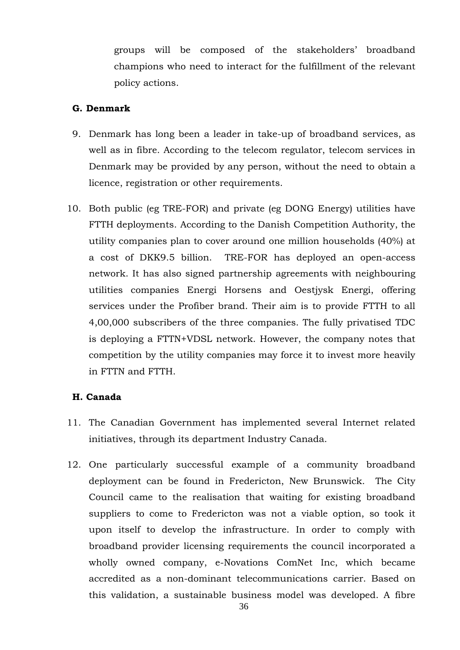groups will be composed of the stakeholders' broadband champions who need to interact for the fulfillment of the relevant policy actions.

#### **G. Denmark**

- 9. Denmark has long been a leader in take-up of broadband services, as well as in fibre. According to the telecom regulator, telecom services in Denmark may be provided by any person, without the need to obtain a licence, registration or other requirements.
- 10. Both public (eg TRE-FOR) and private (eg DONG Energy) utilities have FTTH deployments. According to the Danish Competition Authority, the utility companies plan to cover around one million households (40%) at a cost of DKK9.5 billion. TRE-FOR has deployed an open-access network. It has also signed partnership agreements with neighbouring utilities companies Energi Horsens and Oestjysk Energi, offering services under the Profiber brand. Their aim is to provide FTTH to all 4,00,000 subscribers of the three companies. The fully privatised TDC is deploying a FTTN+VDSL network. However, the company notes that competition by the utility companies may force it to invest more heavily in FTTN and FTTH.

#### **H. Canada**

- 11. The Canadian Government has implemented several Internet related initiatives, through its department Industry Canada.
- 12. One particularly successful example of a community broadband deployment can be found in Fredericton, New Brunswick. The City Council came to the realisation that waiting for existing broadband suppliers to come to Fredericton was not a viable option, so took it upon itself to develop the infrastructure. In order to comply with broadband provider licensing requirements the council incorporated a wholly owned company, e-Novations ComNet Inc, which became accredited as a non-dominant telecommunications carrier. Based on this validation, a sustainable business model was developed. A fibre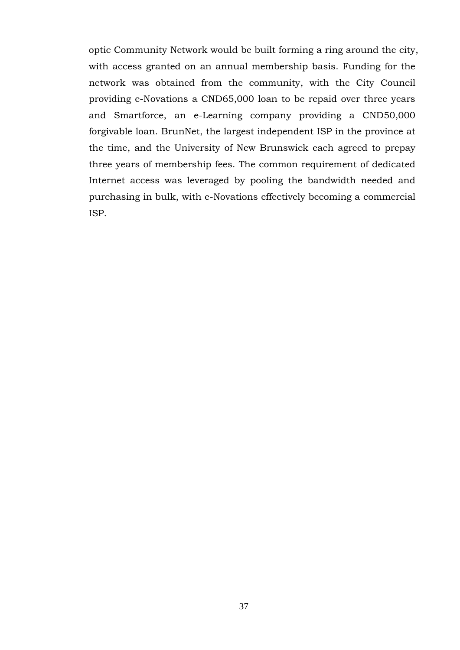optic Community Network would be built forming a ring around the city, with access granted on an annual membership basis. Funding for the network was obtained from the community, with the City Council providing e-Novations a CND65,000 loan to be repaid over three years and Smartforce, an e-Learning company providing a CND50,000 forgivable loan. BrunNet, the largest independent ISP in the province at the time, and the University of New Brunswick each agreed to prepay three years of membership fees. The common requirement of dedicated Internet access was leveraged by pooling the bandwidth needed and purchasing in bulk, with e-Novations effectively becoming a commercial ISP.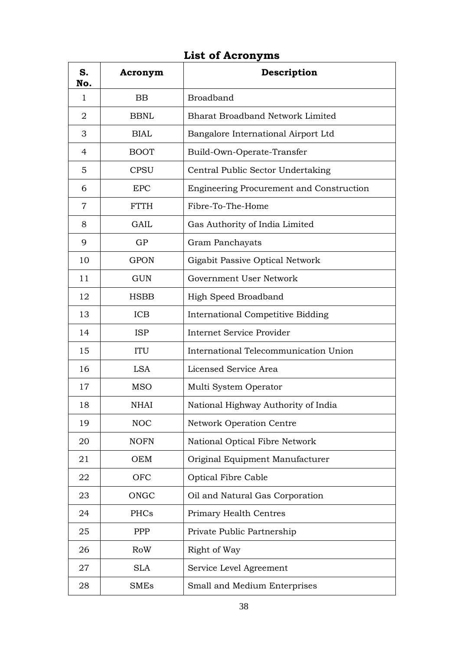| S.<br>No.      | Acronym     | Description                                     |
|----------------|-------------|-------------------------------------------------|
| 1              | <b>BB</b>   | <b>Broadband</b>                                |
| $\overline{2}$ | <b>BBNL</b> | <b>Bharat Broadband Network Limited</b>         |
| 3              | <b>BIAL</b> | Bangalore International Airport Ltd             |
| 4              | <b>BOOT</b> | Build-Own-Operate-Transfer                      |
| 5              | <b>CPSU</b> | Central Public Sector Undertaking               |
| 6              | <b>EPC</b>  | <b>Engineering Procurement and Construction</b> |
| $\overline{7}$ | <b>FTTH</b> | Fibre-To-The-Home                               |
| 8              | GAIL        | Gas Authority of India Limited                  |
| 9              | GP          | <b>Gram Panchayats</b>                          |
| 10             | <b>GPON</b> | Gigabit Passive Optical Network                 |
| 11             | <b>GUN</b>  | Government User Network                         |
| 12             | <b>HSBB</b> | High Speed Broadband                            |
| 13             | <b>ICB</b>  | <b>International Competitive Bidding</b>        |
| 14             | <b>ISP</b>  | <b>Internet Service Provider</b>                |
| 15             | <b>ITU</b>  | International Telecommunication Union           |
| 16             | <b>LSA</b>  | Licensed Service Area                           |
| 17             | <b>MSO</b>  | Multi System Operator                           |
| 18             | NHAI        | National Highway Authority of India             |
| 19             | <b>NOC</b>  | Network Operation Centre                        |
| 20             | <b>NOFN</b> | National Optical Fibre Network                  |
| 21             | OEM         | Original Equipment Manufacturer                 |
| 22             | <b>OFC</b>  | <b>Optical Fibre Cable</b>                      |
| 23             | ONGC        | Oil and Natural Gas Corporation                 |
| 24             | PHCs        | <b>Primary Health Centres</b>                   |
| 25             | <b>PPP</b>  | Private Public Partnership                      |
| 26             | <b>RoW</b>  | Right of Way                                    |
| 27             | <b>SLA</b>  | Service Level Agreement                         |
| 28             | <b>SMEs</b> | Small and Medium Enterprises                    |

## **List of Acronyms**